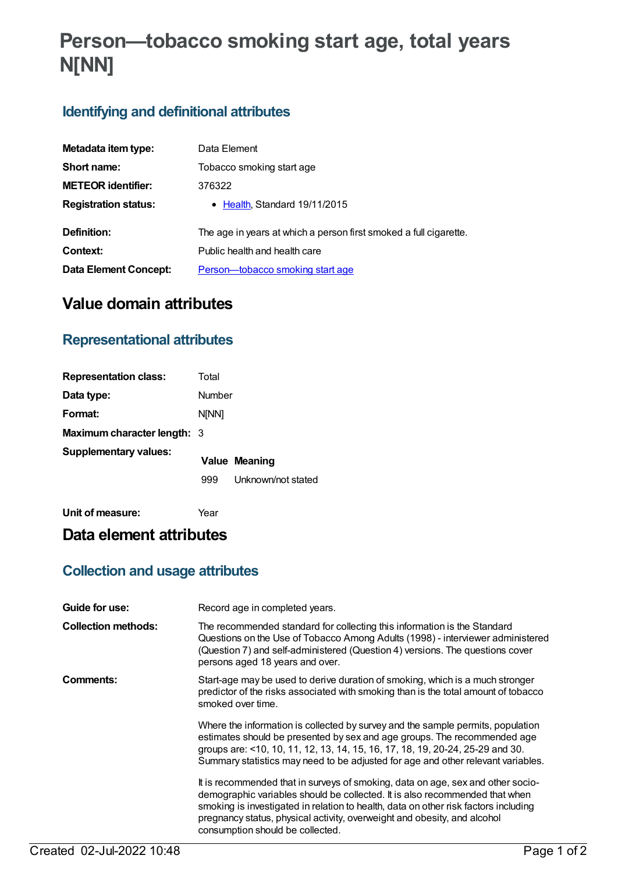# **Person—tobacco smoking start age, total years N[NN]**

## **Identifying and definitional attributes**

| Metadata item type:          | Data Element                                                      |
|------------------------------|-------------------------------------------------------------------|
| Short name:                  | Tobacco smoking start age                                         |
| <b>METEOR identifier:</b>    | 376322                                                            |
| <b>Registration status:</b>  | • Health, Standard 19/11/2015                                     |
| Definition:                  | The age in years at which a person first smoked a full cigarette. |
| Context:                     | Public health and health care                                     |
| <b>Data Element Concept:</b> | <u>Person-tobacco smoking start age</u>                           |

## **Value domain attributes**

## **Representational attributes**

| <b>Representation class:</b>       | Total        |                      |
|------------------------------------|--------------|----------------------|
| Data type:                         | Number       |                      |
| Format:                            | <b>NINN1</b> |                      |
| <b>Maximum character length: 3</b> |              |                      |
| <b>Supplementary values:</b>       |              | <b>Value Meaning</b> |
|                                    | 999          | Unknown/not stated   |
|                                    |              |                      |

**Unit of measure:** Year

## **Data element attributes**

## **Collection and usage attributes**

| Guide for use:             | Record age in completed years.                                                                                                                                                                                                                                                                                                                                        |
|----------------------------|-----------------------------------------------------------------------------------------------------------------------------------------------------------------------------------------------------------------------------------------------------------------------------------------------------------------------------------------------------------------------|
| <b>Collection methods:</b> | The recommended standard for collecting this information is the Standard<br>Questions on the Use of Tobacco Among Adults (1998) - interviewer administered<br>(Question 7) and self-administered (Question 4) versions. The questions cover<br>persons aged 18 years and over.                                                                                        |
| Comments:                  | Start-age may be used to derive duration of smoking, which is a much stronger<br>predictor of the risks associated with smoking than is the total amount of tobacco<br>smoked over time.                                                                                                                                                                              |
|                            | Where the information is collected by survey and the sample permits, population<br>estimates should be presented by sex and age groups. The recommended age<br>groups are: <10, 10, 11, 12, 13, 14, 15, 16, 17, 18, 19, 20-24, 25-29 and 30.<br>Summary statistics may need to be adjusted for age and other relevant variables.                                      |
|                            | It is recommended that in surveys of smoking, data on age, sex and other socio-<br>demographic variables should be collected. It is also recommended that when<br>smoking is investigated in relation to health, data on other risk factors including<br>pregnancy status, physical activity, overweight and obesity, and alcohol<br>consumption should be collected. |